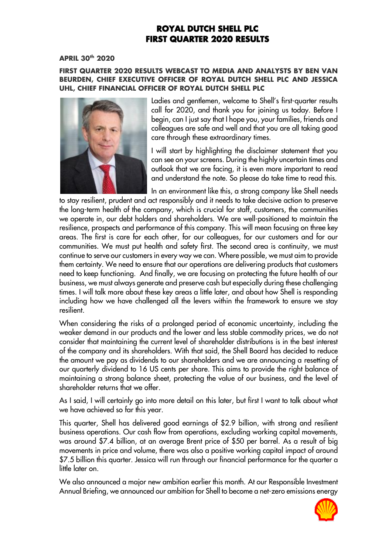#### **APRIL 30th 2020**

#### **FIRST QUARTER 2020 RESULTS WEBCAST TO MEDIA AND ANALYSTS BY BEN VAN BEURDEN, CHIEF EXECUTIVE OFFICER OF ROYAL DUTCH SHELL PLC AND JESSICA UHL, CHIEF FINANCIAL OFFICER OF ROYAL DUTCH SHELL PLC**



Ladies and gentlemen, welcome to Shell's first-quarter results call for 2020, and thank you for joining us today. Before I begin, can I just say that I hope you, your families, friends and colleagues are safe and well and that you are all taking good care through these extraordinary times.

I will start by highlighting the disclaimer statement that you can see on your screens. During the highly uncertain times and outlook that we are facing, it is even more important to read and understand the note. So please do take time to read this.

In an environment like this, a strong company like Shell needs

to stay resilient, prudent and act responsibly and it needs to take decisive action to preserve the long-term health of the company, which is crucial for staff, customers, the communities we operate in, our debt holders and shareholders. We are well-positioned to maintain the resilience, prospects and performance of this company. This will mean focusing on three key areas. The first is care for each other, for our colleagues, for our customers and for our communities. We must put health and safety first. The second area is continuity, we must continue to serve our customers in every way we can. Where possible, we must aim to provide them certainty. We need to ensure that our operations are delivering products that customers need to keep functioning. And finally, we are focusing on protecting the future health of our business, we must always generate and preserve cash but especially during these challenging times. I will talk more about these key areas a little later, and about how Shell is responding including how we have challenged all the levers within the framework to ensure we stay resilient.

When considering the risks of a prolonged period of economic uncertainty, including the weaker demand in our products and the lower and less stable commodity prices, we do not consider that maintaining the current level of shareholder distributions is in the best interest of the company and its shareholders. With that said, the Shell Board has decided to reduce the amount we pay as dividends to our shareholders and we are announcing a resetting of our quarterly dividend to 16 US cents per share. This aims to provide the right balance of maintaining a strong balance sheet, protecting the value of our business, and the level of shareholder returns that we offer.

As I said, I will certainly go into more detail on this later, but first I want to talk about what we have achieved so far this year.

This quarter, Shell has delivered good earnings of \$2.9 billion, with strong and resilient business operations. Our cash flow from operations, excluding working capital movements, was around \$7.4 billion, at an average Brent price of \$50 per barrel. As a result of big movements in price and volume, there was also a positive working capital impact of around \$7.5 billion this quarter. Jessica will run through our financial performance for the quarter a little later on.

We also announced a major new ambition earlier this month. At our Responsible Investment Annual Briefing, we announced our ambition for Shell to become a net-zero emissions energy

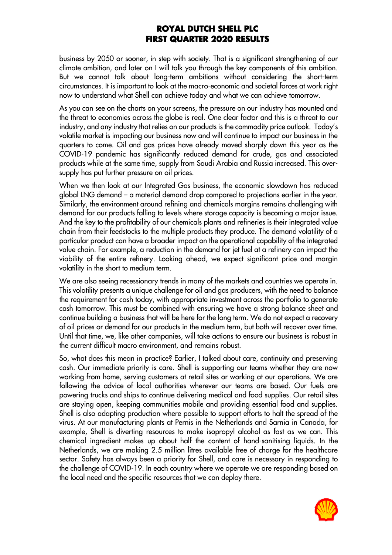business by 2050 or sooner, in step with society. That is a significant strengthening of our climate ambition, and later on I will talk you through the key components of this ambition. But we cannot talk about long-term ambitions without considering the short-term circumstances. It is important to look at the macro-economic and societal forces at work right now to understand what Shell can achieve today and what we can achieve tomorrow.

As you can see on the charts on your screens, the pressure on our industry has mounted and the threat to economies across the globe is real. One clear factor and this is a threat to our industry, and any industry that relies on our products is the commodity price outlook. Today's volatile market is impacting our business now and will continue to impact our business in the quarters to come. Oil and gas prices have already moved sharply down this year as the COVID-19 pandemic has significantly reduced demand for crude, gas and associated products while at the same time, supply from Saudi Arabia and Russia increased. This oversupply has put further pressure on oil prices.

When we then look at our Integrated Gas business, the economic slowdown has reduced global LNG demand – a material demand drop compared to projections earlier in the year. Similarly, the environment around refining and chemicals margins remains challenging with demand for our products falling to levels where storage capacity is becoming a major issue. And the key to the profitability of our chemicals plants and refineries is their integrated value chain from their feedstocks to the multiple products they produce. The demand volatility of a particular product can have a broader impact on the operational capability of the integrated value chain. For example, a reduction in the demand for jet fuel at a refinery can impact the viability of the entire refinery. Looking ahead, we expect significant price and margin volatility in the short to medium term.

We are also seeing recessionary trends in many of the markets and countries we operate in. This volatility presents a unique challenge for oil and gas producers, with the need to balance the requirement for cash today, with appropriate investment across the portfolio to generate cash tomorrow. This must be combined with ensuring we have a strong balance sheet and continue building a business that will be here for the long term. We do not expect a recovery of oil prices or demand for our products in the medium term, but both will recover over time. Until that time, we, like other companies, will take actions to ensure our business is robust in the current difficult macro environment, and remains robust.

So, what does this mean in practice? Earlier, I talked about care, continuity and preserving cash. Our immediate priority is care. Shell is supporting our teams whether they are now working from home, serving customers at retail sites or working at our operations. We are following the advice of local authorities wherever our teams are based. Our fuels are powering trucks and ships to continue delivering medical and food supplies. Our retail sites are staying open, keeping communities mobile and providing essential food and supplies. Shell is also adapting production where possible to support efforts to halt the spread of the virus. At our manufacturing plants at Pernis in the Netherlands and Sarnia in Canada, for example, Shell is diverting resources to make isopropyl alcohol as fast as we can. This chemical ingredient makes up about half the content of hand-sanitising liquids. In the Netherlands, we are making 2.5 million litres available free of charge for the healthcare sector. Safety has always been a priority for Shell, and care is necessary in responding to the challenge of COVID-19. In each country where we operate we are responding based on the local need and the specific resources that we can deploy there.

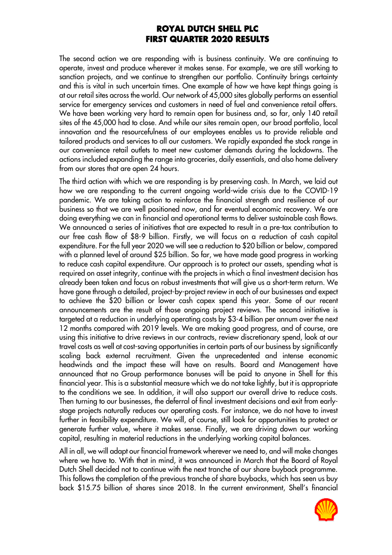The second action we are responding with is business continuity. We are continuing to operate, invest and produce wherever it makes sense. For example, we are still working to sanction projects, and we continue to strengthen our portfolio. Continuity brings certainty and this is vital in such uncertain times. One example of how we have kept things going is at our retail sites across the world. Our network of 45,000 sites globally performs an essential service for emergency services and customers in need of fuel and convenience retail offers. We have been working very hard to remain open for business and, so far, only 140 retail sites of the 45,000 had to close. And while our sites remain open, our broad portfolio, local innovation and the resourcefulness of our employees enables us to provide reliable and tailored products and services to all our customers. We rapidly expanded the stock range in our convenience retail outlets to meet new customer demands during the lockdowns. The actions included expanding the range into groceries, daily essentials, and also home delivery from our stores that are open 24 hours.

The third action with which we are responding is by preserving cash. In March, we laid out how we are responding to the current ongoing world-wide crisis due to the COVID-19 pandemic. We are taking action to reinforce the financial strength and resilience of our business so that we are well positioned now, and for eventual economic recovery. We are doing everything we can in financial and operational terms to deliver sustainable cash flows. We announced a series of initiatives that are expected to result in a pre-tax contribution to our free cash flow of \$8-9 billion. Firstly, we will focus on a reduction of cash capital expenditure. For the full year 2020 we will see a reduction to \$20 billion or below, compared with a planned level of around \$25 billion. So far, we have made good progress in working to reduce cash capital expenditure. Our approach is to protect our assets, spending what is required on asset integrity, continue with the projects in which a final investment decision has already been taken and focus on robust investments that will give us a short-term return. We have gone through a detailed, project-by-project review in each of our businesses and expect to achieve the \$20 billion or lower cash capex spend this year. Some of our recent announcements are the result of those ongoing project reviews. The second initiative is targeted at a reduction in underlying operating costs by \$3-4 billion per annum over the next 12 months compared with 2019 levels. We are making good progress, and of course, are using this initiative to drive reviews in our contracts, review discretionary spend, look at our travel costs as well at cost-saving opportunities in certain parts of our business by significantly scaling back external recruitment. Given the unprecedented and intense economic headwinds and the impact these will have on results. Board and Management have announced that no Group performance bonuses will be paid to anyone in Shell for this financial year. This is a substantial measure which we do not take lightly, but it is appropriate to the conditions we see. In addition, it will also support our overall drive to reduce costs. Then turning to our businesses, the deferral of final investment decisions and exit from earlystage projects naturally reduces our operating costs. For instance, we do not have to invest further in feasibility expenditure. We will, of course, still look for opportunities to protect or generate further value, where it makes sense. Finally, we are driving down our working capital, resulting in material reductions in the underlying working capital balances.

All in all, we will adapt our financial framework wherever we need to, and will make changes where we have to. With that in mind, it was announced in March that the Board of Royal Dutch Shell decided not to continue with the next tranche of our share buyback programme. This follows the completion of the previous tranche of share buybacks, which has seen us buy back \$15.75 billion of shares since 2018. In the current environment, Shell's financial

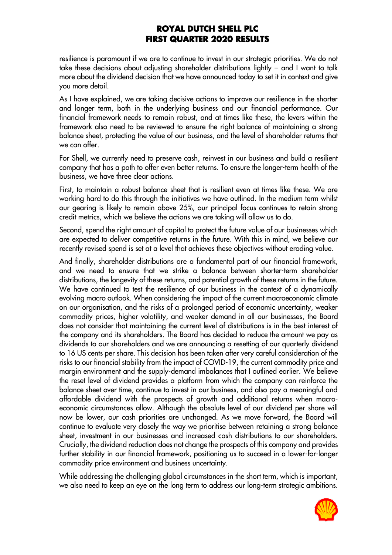resilience is paramount if we are to continue to invest in our strategic priorities. We do not take these decisions about adjusting shareholder distributions lightly – and I want to talk more about the dividend decision that we have announced today to set it in context and give you more detail.

As I have explained, we are taking decisive actions to improve our resilience in the shorter and longer term, both in the underlying business and our financial performance. Our financial framework needs to remain robust, and at times like these, the levers within the framework also need to be reviewed to ensure the right balance of maintaining a strong balance sheet, protecting the value of our business, and the level of shareholder returns that we can offer.

For Shell, we currently need to preserve cash, reinvest in our business and build a resilient company that has a path to offer even better returns. To ensure the longer-term health of the business, we have three clear actions.

First, to maintain a robust balance sheet that is resilient even at times like these. We are working hard to do this through the initiatives we have outlined. In the medium term whilst our gearing is likely to remain above 25%, our principal focus continues to retain strong credit metrics, which we believe the actions we are taking will allow us to do.

Second, spend the right amount of capital to protect the future value of our businesses which are expected to deliver competitive returns in the future. With this in mind, we believe our recently revised spend is set at a level that achieves these objectives without eroding value.

And finally, shareholder distributions are a fundamental part of our financial framework, and we need to ensure that we strike a balance between shorter-term shareholder distributions, the longevity of these returns, and potential growth of these returns in the future. We have continued to test the resilience of our business in the context of a dynamically evolving macro outlook. When considering the impact of the current macroeconomic climate on our organisation, and the risks of a prolonged period of economic uncertainty, weaker commodity prices, higher volatility, and weaker demand in all our businesses, the Board does not consider that maintaining the current level of distributions is in the best interest of the company and its shareholders. The Board has decided to reduce the amount we pay as dividends to our shareholders and we are announcing a resetting of our quarterly dividend to 16 US cents per share. This decision has been taken after very careful consideration of the risks to our financial stability from the impact of COVID-19, the current commodity price and margin environment and the supply-demand imbalances that I outlined earlier. We believe the reset level of dividend provides a platform from which the company can reinforce the balance sheet over time, continue to invest in our business, and also pay a meaningful and affordable dividend with the prospects of growth and additional returns when macroeconomic circumstances allow. Although the absolute level of our dividend per share will now be lower, our cash priorities are unchanged. As we move forward, the Board will continue to evaluate very closely the way we prioritise between retaining a strong balance sheet, investment in our businesses and increased cash distributions to our shareholders. Crucially, the dividend reduction does not change the prospects of this company and provides further stability in our financial framework, positioning us to succeed in a lower-for-longer commodity price environment and business uncertainty.

While addressing the challenging global circumstances in the short term, which is important, we also need to keep an eye on the long term to address our long-term strategic ambitions.

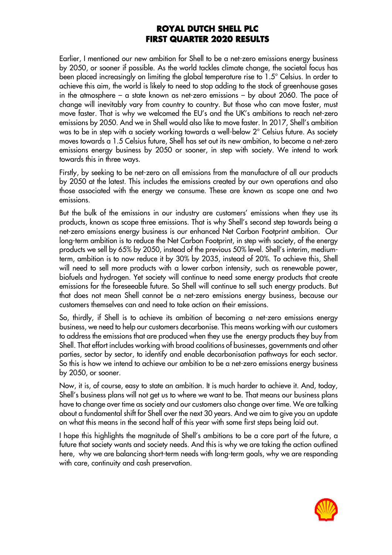Earlier, I mentioned our new ambition for Shell to be a net-zero emissions energy business by 2050, or sooner if possible. As the world tackles climate change, the societal focus has been placed increasingly on limiting the global temperature rise to 1.5° Celsius. In order to achieve this aim, the world is likely to need to stop adding to the stock of greenhouse gases in the atmosphere – a state known as net-zero emissions – by about 2060. The pace of change will inevitably vary from country to country. But those who can move faster, must move faster. That is why we welcomed the EU's and the UK's ambitions to reach net-zero emissions by 2050. And we in Shell would also like to move faster. In 2017, Shell's ambition was to be in step with a society working towards a well-below 2° Celsius future. As society moves towards a 1.5 Celsius future, Shell has set out its new ambition, to become a net-zero emissions energy business by 2050 or sooner, in step with society. We intend to work towards this in three ways.

Firstly, by seeking to be net-zero on all emissions from the manufacture of all our products by 2050 at the latest. This includes the emissions created by our own operations and also those associated with the energy we consume. These are known as scope one and two emissions.

But the bulk of the emissions in our industry are customers' emissions when they use its products, known as scope three emissions. That is why Shell's second step towards being a net-zero emissions energy business is our enhanced Net Carbon Footprint ambition. Our long-term ambition is to reduce the Net Carbon Footprint, in step with society, of the energy products we sell by 65% by 2050, instead of the previous 50% level. Shell's interim, mediumterm, ambition is to now reduce it by 30% by 2035, instead of 20%. To achieve this, Shell will need to sell more products with a lower carbon intensity, such as renewable power, biofuels and hydrogen. Yet society will continue to need some energy products that create emissions for the foreseeable future. So Shell will continue to sell such energy products. But that does not mean Shell cannot be a net-zero emissions energy business, because our customers themselves can and need to take action on their emissions.

So, thirdly, if Shell is to achieve its ambition of becoming a net-zero emissions energy business, we need to help our customers decarbonise. This means working with our customers to address the emissions that are produced when they use the energy products they buy from Shell. That effort includes working with broad coalitions of businesses, governments and other parties, sector by sector, to identify and enable decarbonisation pathways for each sector. So this is how we intend to achieve our ambition to be a net-zero emissions energy business by 2050, or sooner.

Now, it is, of course, easy to state an ambition. It is much harder to achieve it. And, today, Shell's business plans will not get us to where we want to be. That means our business plans have to change over time as society and our customers also change over time. We are talking about a fundamental shift for Shell over the next 30 years. And we aim to give you an update on what this means in the second half of this year with some first steps being laid out.

I hope this highlights the magnitude of Shell's ambitions to be a core part of the future, a future that society wants and society needs. And this is why we are taking the action outlined here, why we are balancing short-term needs with long-term goals, why we are responding with care, continuity and cash preservation.

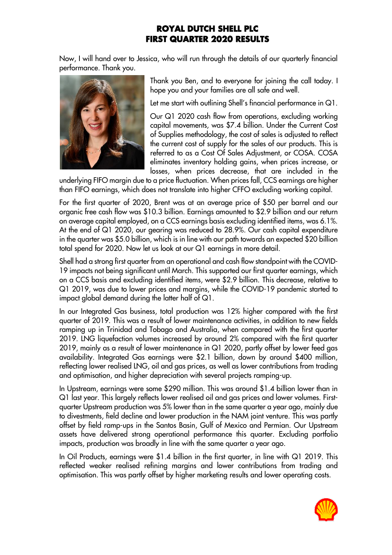Now, I will hand over to Jessica, who will run through the details of our quarterly financial performance. Thank you.



Thank you Ben, and to everyone for joining the call today. I hope you and your families are all safe and well.

Let me start with outlining Shell's financial performance in Q1.

Our Q1 2020 cash flow from operations, excluding working capital movements, was \$7.4 billion. Under the Current Cost of Supplies methodology, the cost of sales is adjusted to reflect the current cost of supply for the sales of our products. This is referred to as a Cost Of Sales Adjustment, or COSA. COSA eliminates inventory holding gains, when prices increase, or losses, when prices decrease, that are included in the

underlying FIFO margin due to a price fluctuation. When prices fall, CCS earnings are higher than FIFO earnings, which does not translate into higher CFFO excluding working capital.

For the first quarter of 2020, Brent was at an average price of \$50 per barrel and our organic free cash flow was \$10.3 billion. Earnings amounted to \$2.9 billion and our return on average capital employed, on a CCS earnings basis excluding identified items, was 6.1%. At the end of Q1 2020, our gearing was reduced to 28.9%. Our cash capital expenditure in the quarter was \$5.0 billion, which is in line with our path towards an expected \$20 billion total spend for 2020. Now let us look at our Q1 earnings in more detail.

Shell had a strong first quarter from an operational and cash flow standpoint with the COVID-19 impacts not being significant until March. This supported our first quarter earnings, which on a CCS basis and excluding identified items, were \$2.9 billion. This decrease, relative to Q1 2019, was due to lower prices and margins, while the COVID-19 pandemic started to impact global demand during the latter half of Q1.

In our Integrated Gas business, total production was 12% higher compared with the first quarter of 2019. This was a result of lower maintenance activities, in addition to new fields ramping up in Trinidad and Tobago and Australia, when compared with the first quarter 2019. LNG liquefaction volumes increased by around 2% compared with the first quarter 2019, mainly as a result of lower maintenance in Q1 2020, partly offset by lower feed gas availability. Integrated Gas earnings were \$2.1 billion, down by around \$400 million, reflecting lower realised LNG, oil and gas prices, as well as lower contributions from trading and optimisation, and higher depreciation with several projects ramping-up.

In Upstream, earnings were some \$290 million. This was around \$1.4 billion lower than in Q1 last year. This largely reflects lower realised oil and gas prices and lower volumes. Firstquarter Upstream production was 5% lower than in the same quarter a year ago, mainly due to divestments, field decline and lower production in the NAM joint venture. This was partly offset by field ramp-ups in the Santos Basin, Gulf of Mexico and Permian. Our Upstream assets have delivered strong operational performance this quarter. Excluding portfolio impacts, production was broadly in line with the same quarter a year ago.

In Oil Products, earnings were \$1.4 billion in the first quarter, in line with Q1 2019. This reflected weaker realised refining margins and lower contributions from trading and optimisation. This was partly offset by higher marketing results and lower operating costs.

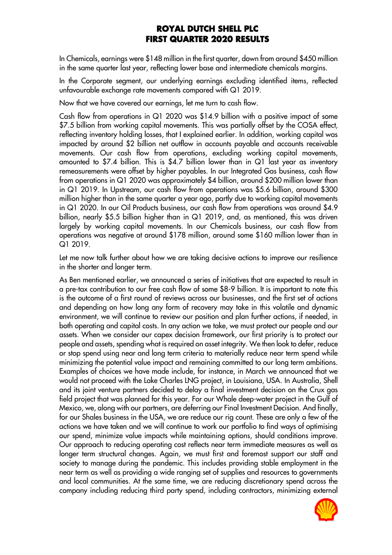In Chemicals, earnings were \$148 million in the first quarter, down from around \$450 million in the same quarter last year, reflecting lower base and intermediate chemicals margins.

In the Corporate segment, our underlying earnings excluding identified items, reflected unfavourable exchange rate movements compared with Q1 2019.

Now that we have covered our earnings, let me turn to cash flow.

Cash flow from operations in Q1 2020 was \$14.9 billion with a positive impact of some \$7.5 billion from working capital movements. This was partially offset by the COSA effect, reflecting inventory holding losses, that I explained earlier. In addition, working capital was impacted by around \$2 billion net outflow in accounts payable and accounts receivable movements. Our cash flow from operations, excluding working capital movements, amounted to \$7.4 billion. This is \$4.7 billion lower than in Q1 last year as inventory remeasurements were offset by higher payables. In our Integrated Gas business, cash flow from operations in Q1 2020 was approximately \$4 billion, around \$200 million lower than in Q1 2019. In Upstream, our cash flow from operations was \$5.6 billion, around \$300 million higher than in the same quarter a year ago, partly due to working capital movements in Q1 2020. In our Oil Products business, our cash flow from operations was around \$4.9 billion, nearly \$5.5 billion higher than in Q1 2019, and, as mentioned, this was driven largely by working capital movements. In our Chemicals business, our cash flow from operations was negative at around \$178 million, around some \$160 million lower than in Q1 2019.

Let me now talk further about how we are taking decisive actions to improve our resilience in the shorter and longer term.

As Ben mentioned earlier, we announced a series of initiatives that are expected to result in a pre-tax contribution to our free cash flow of some \$8-9 billion. It is important to note this is the outcome of a first round of reviews across our businesses, and the first set of actions and depending on how long any form of recovery may take in this volatile and dynamic environment, we will continue to review our position and plan further actions, if needed, in both operating and capital costs. In any action we take, we must protect our people and our assets. When we consider our capex decision framework, our first priority is to protect our people and assets, spending what is required on asset integrity. We then look to defer, reduce or stop spend using near and long term criteria to materially reduce near term spend while minimizing the potential value impact and remaining committed to our long term ambitions. Examples of choices we have made include, for instance, in March we announced that we would not proceed with the Lake Charles LNG project, in Louisiana, USA. In Australia, Shell and its joint venture partners decided to delay a final investment decision on the Crux gas field project that was planned for this year. For our Whale deep-water project in the Gulf of Mexico, we, along with our partners, are deferring our Final Investment Decision. And finally, for our Shales business in the USA, we are reduce our rig count. These are only a few of the actions we have taken and we will continue to work our portfolio to find ways of optimising our spend, minimize value impacts while maintaining options, should conditions improve. Our approach to reducing operating cost reflects near term immediate measures as well as longer term structural changes. Again, we must first and foremost support our staff and society to manage during the pandemic. This includes providing stable employment in the near term as well as providing a wide ranging set of supplies and resources to governments and local communities. At the same time, we are reducing discretionary spend across the company including reducing third party spend, including contractors, minimizing external

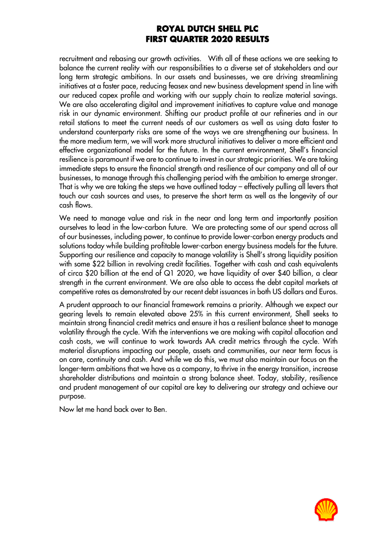recruitment and rebasing our growth activities. With all of these actions we are seeking to balance the current reality with our responsibilities to a diverse set of stakeholders and our long term strategic ambitions. In our assets and businesses, we are driving streamlining initiatives at a faster pace, reducing feasex and new business development spend in line with our reduced capex profile and working with our supply chain to realize material savings. We are also accelerating digital and improvement initiatives to capture value and manage risk in our dynamic environment. Shifting our product profile at our refineries and in our retail stations to meet the current needs of our customers as well as using data faster to understand counterparty risks are some of the ways we are strengthening our business. In the more medium term, we will work more structural initiatives to deliver a more efficient and effective organizational model for the future. In the current environment, Shell's financial resilience is paramount if we are to continue to invest in our strategic priorities. We are taking immediate steps to ensure the financial strength and resilience of our company and all of our businesses, to manage through this challenging period with the ambition to emerge stronger. That is why we are taking the steps we have outlined today – effectively pulling all levers that touch our cash sources and uses, to preserve the short term as well as the longevity of our cash flows.

We need to manage value and risk in the near and long term and importantly position ourselves to lead in the low-carbon future. We are protecting some of our spend across all of our businesses, including power, to continue to provide lower-carbon energy products and solutions today while building profitable lower-carbon energy business models for the future. Supporting our resilience and capacity to manage volatility is Shell's strong liquidity position with some \$22 billion in revolving credit facilities. Together with cash and cash equivalents of circa \$20 billion at the end of Q1 2020, we have liquidity of over \$40 billion, a clear strength in the current environment. We are also able to access the debt capital markets at competitive rates as demonstrated by our recent debt issuances in both US dollars and Euros.

A prudent approach to our financial framework remains a priority. Although we expect our gearing levels to remain elevated above 25% in this current environment, Shell seeks to maintain strong financial credit metrics and ensure it has a resilient balance sheet to manage volatility through the cycle. With the interventions we are making with capital allocation and cash costs, we will continue to work towards AA credit metrics through the cycle. With material disruptions impacting our people, assets and communities, our near term focus is on care, continuity and cash. And while we do this, we must also maintain our focus on the longer-term ambitions that we have as a company, to thrive in the energy transition, increase shareholder distributions and maintain a strong balance sheet. Today, stability, resilience and prudent management of our capital are key to delivering our strategy and achieve our purpose.

Now let me hand back over to Ben.

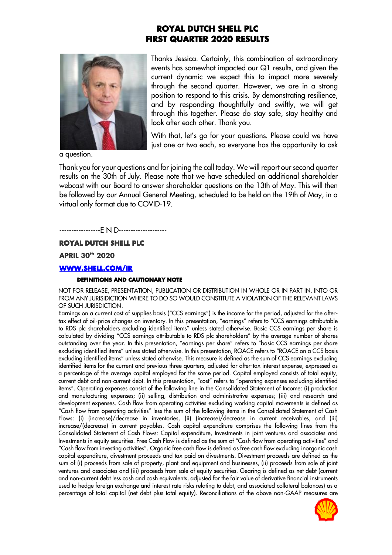

a question.

Thanks Jessica. Certainly, this combination of extraordinary events has somewhat impacted our Q1 results, and given the current dynamic we expect this to impact more severely through the second quarter. However, we are in a strong position to respond to this crisis. By demonstrating resilience, and by responding thoughtfully and swiftly, we will get through this together. Please do stay safe, stay healthy and look after each other. Thank you.

With that, let's go for your questions. Please could we have just one or two each, so everyone has the opportunity to ask

Thank you for your questions and for joining the call today. We will report our second quarter results on the 30th of July. Please note that we have scheduled an additional shareholder webcast with our Board to answer shareholder questions on the 13th of May. This will then be followed by our Annual General Meeting, scheduled to be held on the 19th of May, in a virtual only format due to COVID-19.

-----------------E N D--------------------

**ROYAL DUTCH SHELL PLC** 

**APRIL 30 th 2020**

#### **[WWW.SHELL.COM/IR](http://www.shell.com/ir)**

#### **DEFINITIONS AND CAUTIONARY NOTE**

NOT FOR RELEASE, PRESENTATION, PUBLICATION OR DISTRIBUTION IN WHOLE OR IN PART IN, INTO OR FROM ANY JURISIDICTION WHERE TO DO SO WOULD CONSTITUTE A VIOLATION OF THE RELEVANT LAWS OF SUCH JURISDICTION.

Earnings on a current cost of supplies basis ("CCS earnings") is the income for the period, adjusted for the aftertax effect of oil-price changes on inventory. In this presentation, "earnings" refers to "CCS earnings attributable to RDS plc shareholders excluding identified items" unless stated otherwise. Basic CCS earnings per share is calculated by dividing "CCS earnings attributable to RDS plc shareholders" by the average number of shares outstanding over the year. In this presentation, "earnings per share" refers to "basic CCS earnings per share excluding identified items" unless stated otherwise. In this presentation, ROACE refers to "ROACE on a CCS basis excluding identified items" unless stated otherwise. This measure is defined as the sum of CCS earnings excluding identified items for the current and previous three quarters, adjusted for after-tax interest expense, expressed as a percentage of the average capital employed for the same period. Capital employed consists of total equity, current debt and non-current debt. In this presentation, "cost" refers to "operating expenses excluding identified items". Operating expenses consist of the following line in the Consolidated Statement of Income: (i) production and manufacturing expenses; (ii) selling, distribution and administrative expenses; (iii) and research and development expenses. Cash flow from operating activities excluding working capital movements is defined as "Cash flow from operating activities" less the sum of the following items in the Consolidated Statement of Cash Flows: (i) (increase)/decrease in inventories, (ii) (increase)/decrease in current receivables, and (iii) increase/(decrease) in current payables. Cash capital expenditure comprises the following lines from the Consolidated Statement of Cash Flows: Capital expenditure, Investments in joint ventures and associates and Investments in equity securities. Free Cash Flow is defined as the sum of "Cash flow from operating activities" and "Cash flow from investing activities". Organic free cash flow is defined as free cash flow excluding inorganic cash capital expenditure, divestment proceeds and tax paid on divestments. Divestment proceeds are defined as the sum of (i) proceeds from sale of property, plant and equipment and businesses, (ii) proceeds from sale of joint ventures and associates and (iii) proceeds from sale of equity securities. Gearing is defined as net debt (current and non-current debt less cash and cash equivalents, adjusted for the fair value of derivative financial instruments used to hedge foreign exchange and interest rate risks relating to debt, and associated collateral balances) as a percentage of total capital (net debt plus total equity). Reconciliations of the above non-GAAP measures are

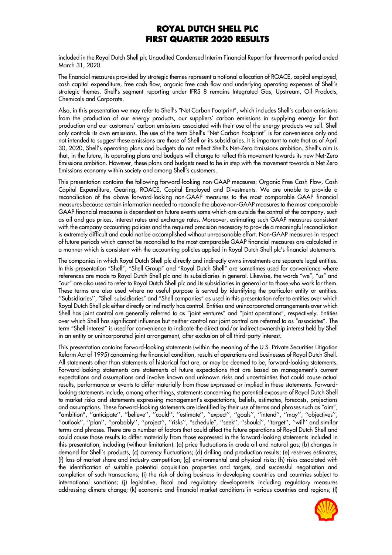included in the Royal Dutch Shell plc Unaudited Condensed Interim Financial Report for three-month period ended March 31, 2020.

The financial measures provided by strategic themes represent a notional allocation of ROACE, capital employed, cash capital expenditure, free cash flow, organic free cash flow and underlying operating expenses of Shell's strategic themes. Shell's segment reporting under IFRS 8 remains Integrated Gas, Upstream, Oil Products, Chemicals and Corporate.

Also, in this presentation we may refer to Shell's "Net Carbon Footprint", which includes Shell's carbon emissions from the production of our energy products, our suppliers' carbon emissions in supplying energy for that production and our customers' carbon emissions associated with their use of the energy products we sell. Shell only controls its own emissions. The use of the term Shell's "Net Carbon Footprint" is for convenience only and not intended to suggest these emissions are those of Shell or its subsidiaries. It is important to note that as of April 30, 2020, Shell's operating plans and budgets do not reflect Shell's Net-Zero Emissions ambition. Shell's aim is that, in the future, its operating plans and budgets will change to reflect this movement towards its new Net-Zero Emissions ambition. However, these plans and budgets need to be in step with the movement towards a Net Zero Emissions economy within society and among Shell's customers.

This presentation contains the following forward-looking non-GAAP measures: Organic Free Cash Flow, Cash Capital Expenditure, Gearing, ROACE, Capital Employed and Divestments. We are unable to provide a reconciliation of the above forward-looking non-GAAP measures to the most comparable GAAP financial measures because certain information needed to reconcile the above non-GAAP measures to the most comparable GAAP financial measures is dependent on future events some which are outside the control of the company, such as oil and gas prices, interest rates and exchange rates. Moreover, estimating such GAAP measures consistent with the company accounting policies and the required precision necessary to provide a meaningful reconciliation is extremely difficult and could not be accomplished without unreasonable effort. Non-GAAP measures in respect of future periods which cannot be reconciled to the most comparable GAAP financial measures are calculated in a manner which is consistent with the accounting policies applied in Royal Dutch Shell plc's financial statements.

The companies in which Royal Dutch Shell plc directly and indirectly owns investments are separate legal entities. In this presentation "Shell", "Shell Group" and "Royal Dutch Shell" are sometimes used for convenience where references are made to Royal Dutch Shell plc and its subsidiaries in general. Likewise, the words "we", "us" and "our" are also used to refer to Royal Dutch Shell plc and its subsidiaries in general or to those who work for them. These terms are also used where no useful purpose is served by identifying the particular entity or entities. ''Subsidiaries'', "Shell subsidiaries" and "Shell companies" as used in this presentation refer to entities over which Royal Dutch Shell plc either directly or indirectly has control. Entities and unincorporated arrangements over which Shell has joint control are generally referred to as "joint ventures" and "joint operations", respectively. Entities over which Shell has significant influence but neither control nor joint control are referred to as "associates". The term "Shell interest" is used for convenience to indicate the direct and/or indirect ownership interest held by Shell in an entity or unincorporated joint arrangement, after exclusion of all third-party interest.

This presentation contains forward-looking statements (within the meaning of the U.S. Private Securities Litigation Reform Act of 1995) concerning the financial condition, results of operations and businesses of Royal Dutch Shell. All statements other than statements of historical fact are, or may be deemed to be, forward-looking statements. Forward-looking statements are statements of future expectations that are based on management's current expectations and assumptions and involve known and unknown risks and uncertainties that could cause actual results, performance or events to differ materially from those expressed or implied in these statements. Forwardlooking statements include, among other things, statements concerning the potential exposure of Royal Dutch Shell to market risks and statements expressing management's expectations, beliefs, estimates, forecasts, projections and assumptions. These forward-looking statements are identified by their use of terms and phrases such as "aim", "ambition", ''anticipate'', ''believe'', ''could'', ''estimate'', ''expect'', ''goals'', ''intend'', ''may'', ''objectives'', ''outlook'', ''plan'', ''probably'', ''project'', ''risks'', "schedule", ''seek'', ''should'', ''target'', ''will'' and similar terms and phrases. There are a number of factors that could affect the future operations of Royal Dutch Shell and could cause those results to differ materially from those expressed in the forward-looking statements included in this presentation, including (without limitation): (a) price fluctuations in crude oil and natural gas; (b) changes in demand for Shell's products; (c) currency fluctuations; (d) drilling and production results; (e) reserves estimates; (f) loss of market share and industry competition; (g) environmental and physical risks; (h) risks associated with the identification of suitable potential acquisition properties and targets, and successful negotiation and completion of such transactions; (i) the risk of doing business in developing countries and countries subject to international sanctions; (j) legislative, fiscal and regulatory developments including regulatory measures addressing climate change; (k) economic and financial market conditions in various countries and regions; (l)